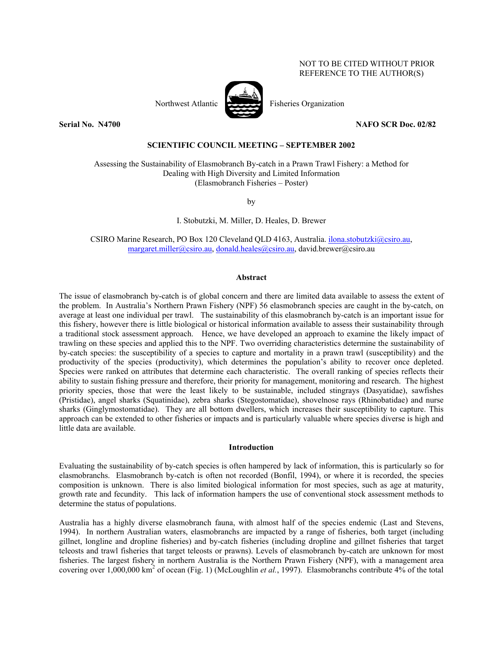# NOT TO BE CITED WITHOUT PRIOR REFERENCE TO THE AUTHOR(S)



# **Serial No. N4700 NAFO SCR Doc. 02/82**

## **SCIENTIFIC COUNCIL MEETING – SEPTEMBER 2002**

Assessing the Sustainability of Elasmobranch By-catch in a Prawn Trawl Fishery: a Method for Dealing with High Diversity and Limited Information (Elasmobranch Fisheries – Poster)

by

I. Stobutzki, M. Miller, D. Heales, D. Brewer

CSIRO Marine Research, PO Box 120 Cleveland QLD 4163, Australia. ilona.stobutzki@csiro.au, margaret.miller@csiro.au, donald.heales@csiro.au, david.brewer@csiro.au

## **Abstract**

The issue of elasmobranch by-catch is of global concern and there are limited data available to assess the extent of the problem. In Australia's Northern Prawn Fishery (NPF) 56 elasmobranch species are caught in the by-catch, on average at least one individual per trawl. The sustainability of this elasmobranch by-catch is an important issue for this fishery, however there is little biological or historical information available to assess their sustainability through a traditional stock assessment approach. Hence, we have developed an approach to examine the likely impact of trawling on these species and applied this to the NPF. Two overriding characteristics determine the sustainability of by-catch species: the susceptibility of a species to capture and mortality in a prawn trawl (susceptibility) and the productivity of the species (productivity), which determines the population's ability to recover once depleted. Species were ranked on attributes that determine each characteristic. The overall ranking of species reflects their ability to sustain fishing pressure and therefore, their priority for management, monitoring and research. The highest priority species, those that were the least likely to be sustainable, included stingrays (Dasyatidae), sawfishes (Pristidae), angel sharks (Squatinidae), zebra sharks (Stegostomatidae), shovelnose rays (Rhinobatidae) and nurse sharks (Ginglymostomatidae). They are all bottom dwellers, which increases their susceptibility to capture. This approach can be extended to other fisheries or impacts and is particularly valuable where species diverse is high and little data are available.

# **Introduction**

Evaluating the sustainability of by-catch species is often hampered by lack of information, this is particularly so for elasmobranchs. Elasmobranch by-catch is often not recorded (Bonfil, 1994), or where it is recorded, the species composition is unknown. There is also limited biological information for most species, such as age at maturity, growth rate and fecundity. This lack of information hampers the use of conventional stock assessment methods to determine the status of populations.

Australia has a highly diverse elasmobranch fauna, with almost half of the species endemic (Last and Stevens, 1994). In northern Australian waters, elasmobranchs are impacted by a range of fisheries, both target (including gillnet, longline and dropline fisheries) and by-catch fisheries (including dropline and gillnet fisheries that target teleosts and trawl fisheries that target teleosts or prawns). Levels of elasmobranch by-catch are unknown for most fisheries. The largest fishery in northern Australia is the Northern Prawn Fishery (NPF), with a management area covering over 1,000,000 km<sup>2</sup> of ocean (Fig. 1) (McLoughlin *et al.*, 1997). Elasmobranchs contribute 4% of the total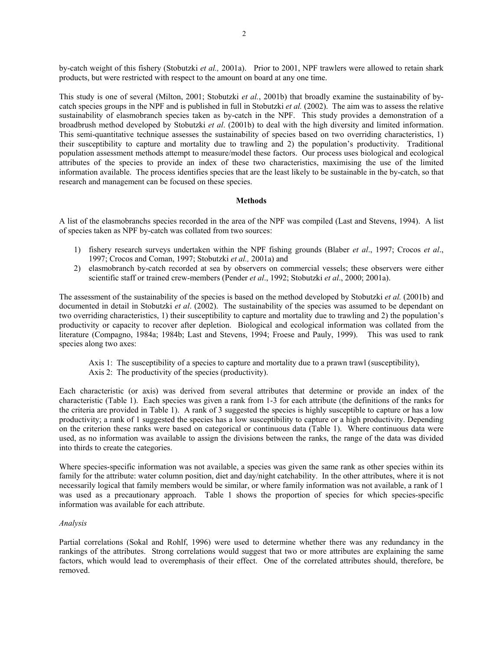by-catch weight of this fishery (Stobutzki *et al.,* 2001a). Prior to 2001, NPF trawlers were allowed to retain shark products, but were restricted with respect to the amount on board at any one time.

This study is one of several (Milton, 2001; Stobutzki *et al.*, 2001b) that broadly examine the sustainability of bycatch species groups in the NPF and is published in full in Stobutzki *et al.* (2002). The aim was to assess the relative sustainability of elasmobranch species taken as by-catch in the NPF. This study provides a demonstration of a broadbrush method developed by Stobutzki *et al*. (2001b) to deal with the high diversity and limited information. This semi-quantitative technique assesses the sustainability of species based on two overriding characteristics, 1) their susceptibility to capture and mortality due to trawling and 2) the population's productivity. Traditional population assessment methods attempt to measure/model these factors. Our process uses biological and ecological attributes of the species to provide an index of these two characteristics, maximising the use of the limited information available. The process identifies species that are the least likely to be sustainable in the by-catch, so that research and management can be focused on these species.

## **Methods**

A list of the elasmobranchs species recorded in the area of the NPF was compiled (Last and Stevens, 1994). A list of species taken as NPF by-catch was collated from two sources:

- 1) fishery research surveys undertaken within the NPF fishing grounds (Blaber *et al*., 1997; Crocos *et al*., 1997; Crocos and Coman, 1997; Stobutzki *et al.,* 2001a) and
- 2) elasmobranch by-catch recorded at sea by observers on commercial vessels; these observers were either scientific staff or trained crew-members (Pender *et al*., 1992; Stobutzki *et al*., 2000; 2001a).

The assessment of the sustainability of the species is based on the method developed by Stobutzki *et al.* (2001b) and documented in detail in Stobutzki *et al*. (2002). The sustainability of the species was assumed to be dependant on two overriding characteristics, 1) their susceptibility to capture and mortality due to trawling and 2) the population's productivity or capacity to recover after depletion. Biological and ecological information was collated from the literature (Compagno, 1984a; 1984b; Last and Stevens, 1994; Froese and Pauly, 1999). This was used to rank species along two axes:

- Axis 1: The susceptibility of a species to capture and mortality due to a prawn trawl (susceptibility),
- Axis 2: The productivity of the species (productivity).

Each characteristic (or axis) was derived from several attributes that determine or provide an index of the characteristic (Table 1). Each species was given a rank from 1-3 for each attribute (the definitions of the ranks for the criteria are provided in Table 1). A rank of 3 suggested the species is highly susceptible to capture or has a low productivity; a rank of 1 suggested the species has a low susceptibility to capture or a high productivity. Depending on the criterion these ranks were based on categorical or continuous data (Table 1). Where continuous data were used, as no information was available to assign the divisions between the ranks, the range of the data was divided into thirds to create the categories.

Where species-specific information was not available, a species was given the same rank as other species within its family for the attribute: water column position, diet and day/night catchability. In the other attributes, where it is not necessarily logical that family members would be similar, or where family information was not available, a rank of 1 was used as a precautionary approach. Table 1 shows the proportion of species for which species-specific information was available for each attribute.

# *Analysis*

Partial correlations (Sokal and Rohlf, 1996) were used to determine whether there was any redundancy in the rankings of the attributes. Strong correlations would suggest that two or more attributes are explaining the same factors, which would lead to overemphasis of their effect. One of the correlated attributes should, therefore, be removed.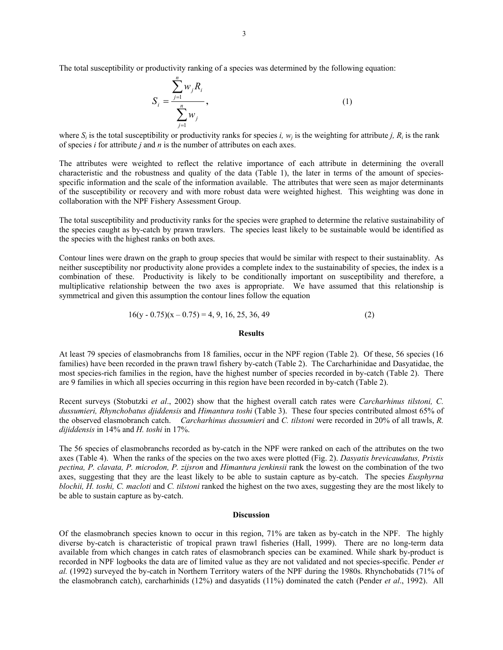The total susceptibility or productivity ranking of a species was determined by the following equation:

$$
S_{i} = \frac{\sum_{j=1}^{n} w_{j} R_{i}}{\sum_{j=1}^{n} w_{j}},
$$
\n(1)

where  $S_i$  is the total susceptibility or productivity ranks for species *i*,  $w_i$  is the weighting for attribute *j*,  $R_i$  is the rank of species *i* for attribute *j* and *n* is the number of attributes on each axes.

The attributes were weighted to reflect the relative importance of each attribute in determining the overall characteristic and the robustness and quality of the data (Table 1), the later in terms of the amount of speciesspecific information and the scale of the information available. The attributes that were seen as major determinants of the susceptibility or recovery and with more robust data were weighted highest. This weighting was done in collaboration with the NPF Fishery Assessment Group.

The total susceptibility and productivity ranks for the species were graphed to determine the relative sustainability of the species caught as by-catch by prawn trawlers. The species least likely to be sustainable would be identified as the species with the highest ranks on both axes.

Contour lines were drawn on the graph to group species that would be similar with respect to their sustainablity. As neither susceptibility nor productivity alone provides a complete index to the sustainability of species, the index is a combination of these. Productivity is likely to be conditionally important on susceptibility and therefore, a multiplicative relationship between the two axes is appropriate. We have assumed that this relationship is symmetrical and given this assumption the contour lines follow the equation

$$
16(y - 0.75)(x - 0.75) = 4, 9, 16, 25, 36, 49
$$
\n(2)

### **Results**

At least 79 species of elasmobranchs from 18 families, occur in the NPF region (Table 2). Of these, 56 species (16 families) have been recorded in the prawn trawl fishery by-catch (Table 2). The Carcharhinidae and Dasyatidae, the most species-rich families in the region, have the highest number of species recorded in by-catch (Table 2). There are 9 families in which all species occurring in this region have been recorded in by-catch (Table 2).

Recent surveys (Stobutzki *et al*., 2002) show that the highest overall catch rates were *Carcharhinus tilstoni, C. dussumieri, Rhynchobatus djiddensis* and *Himantura toshi* (Table 3). These four species contributed almost 65% of the observed elasmobranch catch. *Carcharhinus dussumieri* and *C. tilstoni* were recorded in 20% of all trawls, *R. dijiddensis* in 14% and *H. toshi* in 17%.

The 56 species of elasmobranchs recorded as by-catch in the NPF were ranked on each of the attributes on the two axes (Table 4). When the ranks of the species on the two axes were plotted (Fig. 2). *Dasyatis brevicaudatus, Pristis pectina, P. clavata, P. microdon, P. zijsron* and *Himantura jenkinsii* rank the lowest on the combination of the two axes, suggesting that they are the least likely to be able to sustain capture as by-catch. The species *Eusphyrna blochii, H. toshi, C. macloti* and *C. tilstoni* ranked the highest on the two axes, suggesting they are the most likely to be able to sustain capture as by-catch.

#### **Discussion**

Of the elasmobranch species known to occur in this region, 71% are taken as by-catch in the NPF. The highly diverse by-catch is characteristic of tropical prawn trawl fisheries (Hall, 1999). There are no long-term data available from which changes in catch rates of elasmobranch species can be examined. While shark by-product is recorded in NPF logbooks the data are of limited value as they are not validated and not species-specific. Pender *et al.* (1992) surveyed the by-catch in Northern Territory waters of the NPF during the 1980s. Rhynchobatids (71% of the elasmobranch catch), carcharhinids (12%) and dasyatids (11%) dominated the catch (Pender *et al*., 1992). All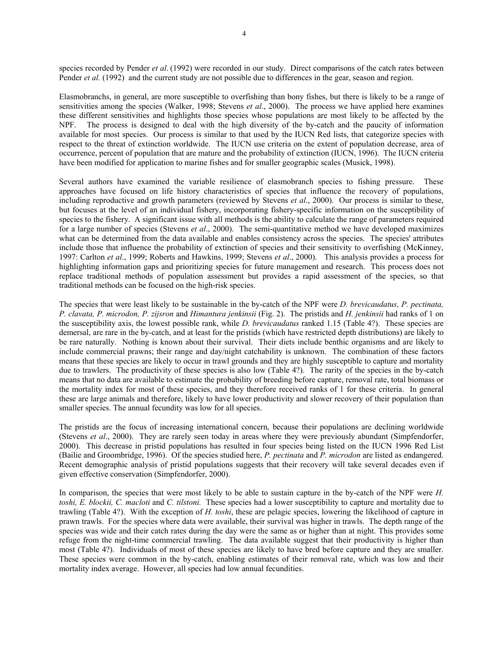species recorded by Pender *et al*. (1992) were recorded in our study. Direct comparisons of the catch rates between Pender *et al.* (1992) and the current study are not possible due to differences in the gear, season and region.

Elasmobranchs, in general, are more susceptible to overfishing than bony fishes, but there is likely to be a range of sensitivities among the species (Walker, 1998; Stevens *et al*., 2000). The process we have applied here examines these different sensitivities and highlights those species whose populations are most likely to be affected by the NPF. The process is designed to deal with the high diversity of the by-catch and the paucity of information available for most species. Our process is similar to that used by the IUCN Red lists, that categorize species with respect to the threat of extinction worldwide. The IUCN use criteria on the extent of population decrease, area of occurrence, percent of population that are mature and the probability of extinction (IUCN, 1996). The IUCN criteria have been modified for application to marine fishes and for smaller geographic scales (Musick, 1998).

Several authors have examined the variable resilience of elasmobranch species to fishing pressure. These approaches have focused on life history characteristics of species that influence the recovery of populations, including reproductive and growth parameters (reviewed by Stevens *et al*., 2000). Our process is similar to these, but focuses at the level of an individual fishery, incorporating fishery-specific information on the susceptibility of species to the fishery. A significant issue with all methods is the ability to calculate the range of parameters required for a large number of species (Stevens *et al*., 2000). The semi-quantitative method we have developed maximizes what can be determined from the data available and enables consistency across the species. The species' attributes include those that influence the probability of extinction of species and their sensitivity to overfishing (McKinney, 1997: Carlton *et al*., 1999; Roberts and Hawkins, 1999; Stevens *et al*., 2000). This analysis provides a process for highlighting information gaps and prioritizing species for future management and research. This process does not replace traditional methods of population assessment but provides a rapid assessment of the species, so that traditional methods can be focused on the high-risk species.

The species that were least likely to be sustainable in the by-catch of the NPF were *D. brevicaudatus, P. pectinata, P. clavata, P. microdon, P. zijsron* and *Himantura jenkinsii* (Fig. 2). The pristids and *H. jenkinsii* had ranks of 1 on the susceptibility axis, the lowest possible rank, while *D. brevicaudatus* ranked 1.15 (Table 4?). These species are demersal, are rare in the by-catch, and at least for the pristids (which have restricted depth distributions) are likely to be rare naturally. Nothing is known about their survival. Their diets include benthic organisms and are likely to include commercial prawns; their range and day/night catchability is unknown. The combination of these factors means that these species are likely to occur in trawl grounds and they are highly susceptible to capture and mortality due to trawlers. The productivity of these species is also low (Table 4?). The rarity of the species in the by-catch means that no data are available to estimate the probability of breeding before capture, removal rate, total biomass or the mortality index for most of these species, and they therefore received ranks of 1 for these criteria. In general these are large animals and therefore, likely to have lower productivity and slower recovery of their population than smaller species. The annual fecundity was low for all species.

The pristids are the focus of increasing international concern, because their populations are declining worldwide (Stevens *et al*., 2000). They are rarely seen today in areas where they were previously abundant (Simpfendorfer, 2000). This decrease in pristid populations has resulted in four species being listed on the IUCN 1996 Red List (Bailie and Groombridge, 1996). Of the species studied here, *P. pectinata* and *P. microdon* are listed as endangered. Recent demographic analysis of pristid populations suggests that their recovery will take several decades even if given effective conservation (Simpfendorfer, 2000).

In comparison, the species that were most likely to be able to sustain capture in the by-catch of the NPF were *H*. *toshi, E. blockii, C. macloti* and *C. tilstoni.* These species had a lower susceptibility to capture and mortality due to trawling (Table 4?). With the exception of *H. toshi*, these are pelagic species, lowering the likelihood of capture in prawn trawls. For the species where data were available, their survival was higher in trawls. The depth range of the species was wide and their catch rates during the day were the same as or higher than at night. This provides some refuge from the night-time commercial trawling. The data available suggest that their productivity is higher than most (Table 4?). Individuals of most of these species are likely to have bred before capture and they are smaller. These species were common in the by-catch, enabling estimates of their removal rate, which was low and their mortality index average. However, all species had low annual fecundities.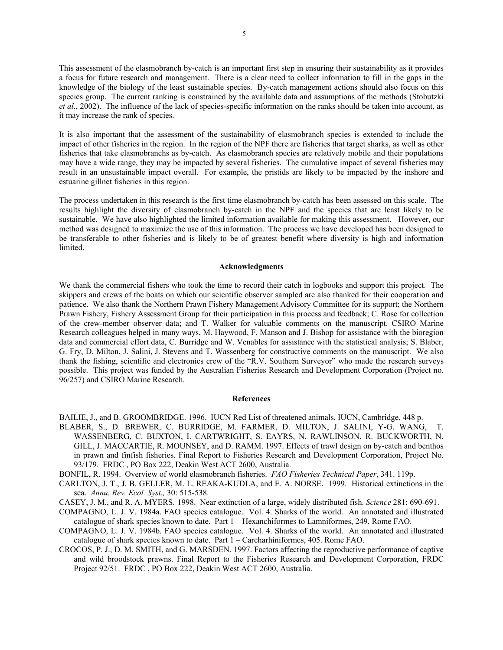This assessment of the elasmobranch by-catch is an important first step in ensuring their sustainability as it provides a focus for future research and management. There is a clear need to collect information to fill in the gaps in the knowledge of the biology of the least sustainable species. By-catch management actions should also focus on this species group. The current ranking is constrained by the available data and assumptions of the methods (Stobutzki *et al*., 2002). The influence of the lack of species-specific information on the ranks should be taken into account, as it may increase the rank of species.

It is also important that the assessment of the sustainability of elasmobranch species is extended to include the impact of other fisheries in the region. In the region of the NPF there are fisheries that target sharks, as well as other fisheries that take elasmobranchs as by-catch. As elasmobranch species are relatively mobile and their populations may have a wide range, they may be impacted by several fisheries. The cumulative impact of several fisheries may result in an unsustainable impact overall. For example, the pristids are likely to be impacted by the inshore and estuarine gillnet fisheries in this region.

The process undertaken in this research is the first time elasmobranch by-catch has been assessed on this scale. The results highlight the diversity of elasmobranch by-catch in the NPF and the species that are least likely to be sustainable. We have also highlighted the limited information available for making this assessment. However, our method was designed to maximize the use of this information. The process we have developed has been designed to be transferable to other fisheries and is likely to be of greatest benefit where diversity is high and information limited.

## **Acknowledgments**

We thank the commercial fishers who took the time to record their catch in logbooks and support this project. The skippers and crews of the boats on which our scientific observer sampled are also thanked for their cooperation and patience. We also thank the Northern Prawn Fishery Management Advisory Committee for its support; the Northern Prawn Fishery, Fishery Assessment Group for their participation in this process and feedback; C. Rose for collection of the crew-member observer data; and T. Walker for valuable comments on the manuscript. CSIRO Marine Research colleagues helped in many ways, M. Haywood, F. Manson and J. Bishop for assistance with the bioregion data and commercial effort data, C. Burridge and W. Venables for assistance with the statistical analysis; S. Blaber, G. Fry, D. Milton, J. Salini, J. Stevens and T. Wassenberg for constructive comments on the manuscript. We also thank the fishing, scientific and electronics crew of the "R.V. Southern Surveyor" who made the research surveys possible. This project was funded by the Australian Fisheries Research and Development Corporation (Project no. 96/257) and CSIRO Marine Research.

#### **References**

- BAILIE, J., and B. GROOMBRIDGE. 1996. IUCN Red List of threatened animals. IUCN, Cambridge. 448 p.
- BLABER, S., D. BREWER, C. BURRIDGE, M. FARMER, D. MILTON, J. SALINI, Y-G. WANG, T. WASSENBERG, C. BUXTON, I. CARTWRIGHT, S. EAYRS, N. RAWLINSON, R. BUCKWORTH, N. GILL, J. MACCARTIE, R. MOUNSEY, and D. RAMM. 1997. Effects of trawl design on by-catch and benthos in prawn and finfish fisheries. Final Report to Fisheries Research and Development Corporation, Project No. 93/179. FRDC , PO Box 222, Deakin West ACT 2600, Australia.
- BONFIL, R. 1994. Overview of world elasmobranch fisheries. *FAO Fisheries Technical Paper*, 341. 119p.
- CARLTON, J. T., J. B. GELLER, M. L. REAKA-KUDLA, and E. A. NORSE. 1999. Historical extinctions in the sea. *Annu. Rev. Ecol. Syst.,* 30: 515-538.
- CASEY, J. M., and R. A. MYERS. 1998. Near extinction of a large, widely distributed fish. *Science* 281: 690-691.
- COMPAGNO, L. J. V. 1984a. FAO species catalogue. Vol. 4. Sharks of the world. An annotated and illustrated catalogue of shark species known to date. Part 1 – Hexanchiformes to Lamniformes, 249. Rome FAO.
- COMPAGNO, L. J. V. 1984b. FAO species catalogue. Vol. 4. Sharks of the world. An annotated and illustrated catalogue of shark species known to date. Part 1 – Carcharhiniformes, 405. Rome FAO.
- CROCOS, P. J., D. M. SMITH, and G. MARSDEN. 1997. Factors affecting the reproductive performance of captive and wild broodstock prawns. Final Report to the Fisheries Research and Development Corporation, FRDC Project 92/51. FRDC , PO Box 222, Deakin West ACT 2600, Australia.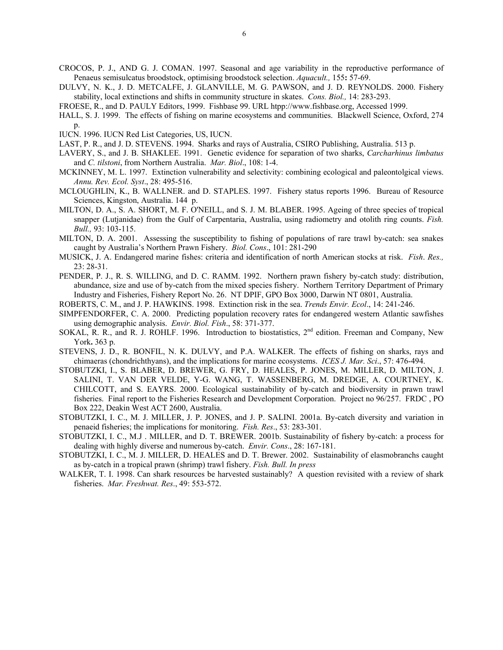- CROCOS, P. J., AND G. J. COMAN. 1997. Seasonal and age variability in the reproductive performance of Penaeus semisulcatus broodstock, optimising broodstock selection. *Aquacult.,* 155**:** 57-69.
- DULVY, N. K., J. D. METCALFE, J. GLANVILLE, M. G. PAWSON, and J. D. REYNOLDS. 2000. Fishery stability, local extinctions and shifts in community structure in skates. *Cons. Biol.,* 14: 283-293.
- FROESE, R., and D. PAULY Editors, 1999. Fishbase 99. URL htpp://www.fishbase.org, Accessed 1999.
- HALL, S. J. 1999. The effects of fishing on marine ecosystems and communities. Blackwell Science, Oxford, 274  $p$ .
- IUCN. 1996. IUCN Red List Categories, US, IUCN.
- LAST, P. R., and J. D. STEVENS. 1994. Sharks and rays of Australia, CSIRO Publishing, Australia. 513 p.
- LAVERY, S., and J. B. SHAKLEE. 1991. Genetic evidence for separation of two sharks, *Carcharhinus limbatus* and *C. tilstoni*, from Northern Australia. *Mar. Biol*., 108: 1-4.
- MCKINNEY, M. L. 1997. Extinction vulnerability and selectivity: combining ecological and paleontolgical views. *Annu. Rev. Ecol. Syst*., 28: 495-516.
- MCLOUGHLIN, K., B. WALLNER. and D. STAPLES. 1997. Fishery status reports 1996. Bureau of Resource Sciences, Kingston, Australia. 144 p.
- MILTON, D. A., S. A. SHORT, M. F. O'NEILL, and S. J. M. BLABER. 1995. Ageing of three species of tropical snapper (Lutjanidae) from the Gulf of Carpentaria, Australia, using radiometry and otolith ring counts. *Fish. Bull.,* 93: 103-115.
- MILTON, D. A. 2001. Assessing the susceptibility to fishing of populations of rare trawl by-catch: sea snakes caught by Australia's Northern Prawn Fishery. *Biol. Cons*., 101: 281-290
- MUSICK, J. A. Endangered marine fishes: criteria and identification of north American stocks at risk. *Fish*. *Res.,* 23: 28-31.
- PENDER, P. J., R. S. WILLING, and D. C. RAMM. 1992. Northern prawn fishery by-catch study: distribution, abundance, size and use of by-catch from the mixed species fishery. Northern Territory Department of Primary Industry and Fisheries, Fishery Report No. 26. NT DPIF, GPO Box 3000, Darwin NT 0801, Australia.
- ROBERTS, C. M., and J. P. HAWKINS. 1998. Extinction risk in the sea. *Trends Envir. Ecol*., 14: 241-246.
- SIMPFENDORFER, C. A. 2000. Predicting population recovery rates for endangered western Atlantic sawfishes using demographic analysis. *Envir. Biol. Fish*., 58: 371-377.
- SOKAL, R. R., and R. J. ROHLF. 1996. Introduction to biostatistics, 2<sup>nd</sup> edition. Freeman and Company, New York**.** 363 p.
- STEVENS, J. D., R. BONFIL, N. K. DULVY, and P.A. WALKER. The effects of fishing on sharks, rays and chimaeras (chondrichthyans), and the implications for marine ecosystems. *ICES J. Mar. Sci*., 57: 476-494.
- STOBUTZKI, I., S. BLABER, D. BREWER, G. FRY, D. HEALES, P. JONES, M. MILLER, D. MILTON, J. SALINI, T. VAN DER VELDE, Y-G. WANG, T. WASSENBERG, M. DREDGE, A. COURTNEY, K. CHILCOTT, and S. EAYRS. 2000. Ecological sustainability of by-catch and biodiversity in prawn trawl fisheries. Final report to the Fisheries Research and Development Corporation. Project no 96/257. FRDC , PO Box 222, Deakin West ACT 2600, Australia.
- STOBUTZKI, I. C., M. J. MILLER, J. P. JONES, and J. P. SALINI. 2001a. By-catch diversity and variation in penaeid fisheries; the implications for monitoring. *Fish. Res*., 53: 283-301.
- STOBUTZKI, I. C., M.J . MILLER, and D. T. BREWER. 2001b. Sustainability of fishery by-catch: a process for dealing with highly diverse and numerous by-catch. *Envir. Cons*., 28: 167-181.
- STOBUTZKI, I. C., M. J. MILLER, D. HEALES and D. T. Brewer. 2002. Sustainability of elasmobranchs caught as by-catch in a tropical prawn (shrimp) trawl fishery. *Fish. Bull. In press*
- WALKER, T. I. 1998. Can shark resources be harvested sustainably? A question revisited with a review of shark fisheries. *Mar. Freshwat. Res*., 49: 553-572.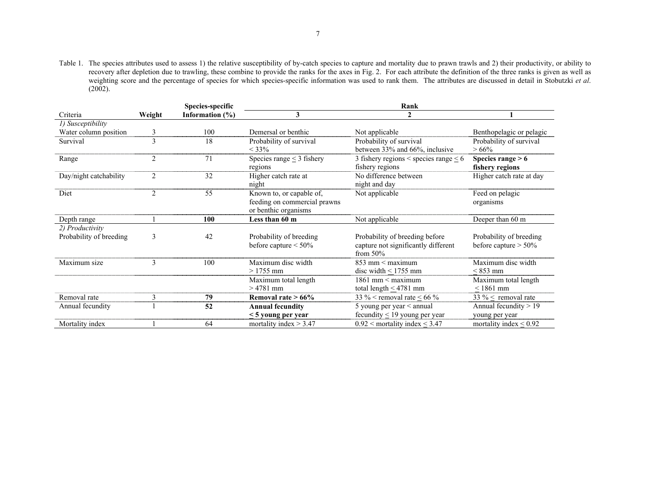Table 1. The species attributes used to assess 1) the relative susceptibility of by-catch species to capture and mortality due to prawn trawls and 2) their productivity, or ability to recovery after depletion due to trawling, these combine to provide the ranks for the axes in Fig. 2. For each attribute the definition of the three ranks is given as well as weighting score and the percentage of species for which species-specific information was used to rank them. The attributes are discussed in detail in Stobutzki *et al*.  $(2002)$ .

|                         |                                | Species-specific | Rank                           |                                            |                             |  |  |  |  |  |  |  |
|-------------------------|--------------------------------|------------------|--------------------------------|--------------------------------------------|-----------------------------|--|--|--|--|--|--|--|
| Criteria                | 3<br>Information (%)<br>Weight |                  |                                |                                            |                             |  |  |  |  |  |  |  |
| 1) Susceptibility       |                                |                  |                                |                                            |                             |  |  |  |  |  |  |  |
| Water column position   | 3                              | 100              | Demersal or benthic            | Not applicable                             | Benthopelagic or pelagic    |  |  |  |  |  |  |  |
| Survival                | 3                              | 18               | Probability of survival        | Probability of survival                    | Probability of survival     |  |  |  |  |  |  |  |
|                         |                                |                  | $< 33\%$                       | between 33% and 66%, inclusive             | $>66\%$                     |  |  |  |  |  |  |  |
| Range                   | $\overline{2}$                 | 71               | Species range $\leq$ 3 fishery | 3 fishery regions < species range $\leq 6$ | Species range $> 6$         |  |  |  |  |  |  |  |
|                         |                                |                  | regions                        | fishery regions                            | fishery regions             |  |  |  |  |  |  |  |
| Day/night catchability  | $\overline{2}$                 | 32               | Higher catch rate at           | No difference between                      | Higher catch rate at day    |  |  |  |  |  |  |  |
|                         |                                |                  | night                          | night and day                              |                             |  |  |  |  |  |  |  |
| Diet                    | 2                              | 55               | Known to, or capable of,       | Not applicable                             | Feed on pelagic             |  |  |  |  |  |  |  |
|                         |                                |                  | feeding on commercial prawns   |                                            | organisms                   |  |  |  |  |  |  |  |
|                         |                                |                  | or benthic organisms           |                                            |                             |  |  |  |  |  |  |  |
| Depth range             |                                | 100              | Less than 60 m                 | Not applicable                             | Deeper than 60 m            |  |  |  |  |  |  |  |
| 2) Productivity         |                                |                  |                                |                                            |                             |  |  |  |  |  |  |  |
| Probability of breeding | 3                              | 42               | Probability of breeding        | Probability of breeding before             | Probability of breeding     |  |  |  |  |  |  |  |
|                         |                                |                  | before capture $\leq 50\%$     | capture not significantly different        | before capture $> 50\%$     |  |  |  |  |  |  |  |
|                         |                                |                  |                                | from $50\%$                                |                             |  |  |  |  |  |  |  |
| Maximum size            | 3                              | 100              | Maximum disc width             | $853$ mm < maximum                         | Maximum disc width          |  |  |  |  |  |  |  |
|                         |                                |                  | $>1755$ mm                     | disc width $\leq$ 1755 mm                  | $< 853$ mm                  |  |  |  |  |  |  |  |
|                         |                                |                  | Maximum total length           | $1861$ mm $\leq$ maximum                   | Maximum total length        |  |  |  |  |  |  |  |
|                         |                                |                  | $>4781$ mm                     | total length $\leq$ 4781 mm                | $< 1861$ mm                 |  |  |  |  |  |  |  |
| Removal rate            | 3                              | 79               | Removal rate $>66\%$           | 33 % < removal rate < 66 %                 | 33 % $<$ removal rate       |  |  |  |  |  |  |  |
| Annual fecundity        |                                | 52               | <b>Annual fecundity</b>        | 5 young per year $\leq$ annual             | Annual fecundity > 19       |  |  |  |  |  |  |  |
|                         |                                |                  | $\leq$ 5 young per year        | fecundity $\leq$ 19 young per year         | young per year              |  |  |  |  |  |  |  |
| Mortality index         |                                | 64               | mortality index $> 3.47$       | $0.92$ < mortality index < 3.47            | mortality index $\leq 0.92$ |  |  |  |  |  |  |  |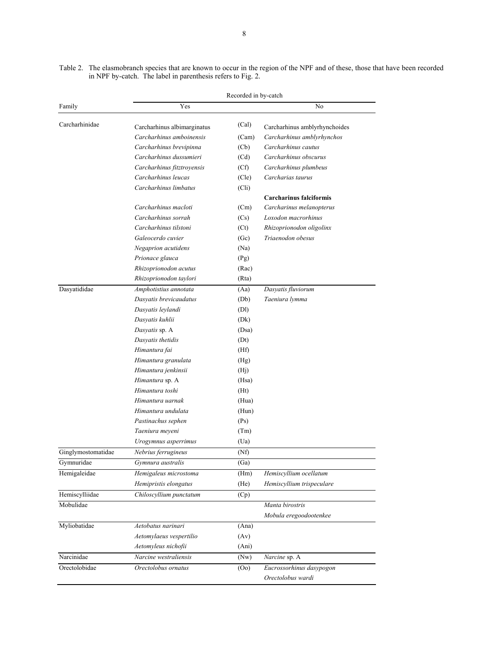Table 2. The elasmobranch species that are known to occur in the region of the NPF and of these, those that have been recorded in NPF by-catch. The label in parenthesis refers to Fig. 2.

| Yes<br>No<br>(Cal)<br>Carcharhinus amblyrhynchoides<br>Carcharhinus albimarginatus<br>Carcharhinus amboinensis<br>Carcharhinus amblyrhynchos<br>(Cam)<br>Carcharhinus brevipinna<br>Carcharhinus cautus<br>(Cb)<br>Carcharhinus dussumieri<br>Carcharhinus obscurus<br>(Cd)<br>Carcharhinus fitztroyensis<br>(Cf)<br>Carcharhinus plumbeus<br>Carcharhinus leucas<br>Carcharias taurus<br>(Cle)<br>Carcharhinus limbatus<br>(Cli)<br><b>Carcharinus falciformis</b><br>Carcharhinus macloti<br>Carcharinus melanopterus<br>(Cm)<br>Carcharhinus sorrah<br>Loxodon macrorhinus<br>(Cs)<br>Carcharhinus tilstoni<br>Rhizoprionodon oligolinx<br>(Ct)<br>Galeocerdo cuvier<br>Triaenodon obesus<br>(Gc)<br>Negaprion acutidens<br>(Na)<br>Prionace glauca<br>(Pg)<br>Rhizoprionodon acutus<br>(Rac)<br>Rhizoprionodon taylori<br>(Rta)<br>Dasyatis fluviorum<br>Amphotistius annotata<br>(Aa)<br>Dasyatis brevicaudatus<br>(Db)<br>Taeniura lymma<br>Dasyatis leylandi<br>(DI)<br>Dasyatis kuhlii<br>(Dk)<br>Dasyatis sp. A<br>(Dsa)<br>Dasyatis thetidis<br>(Dt)<br>Himantura fai<br>(Hf)<br>Himantura granulata<br>(Hg)<br>Himantura jenkinsii<br>(H <sub>j</sub> )<br>Himantura sp. A<br>(Hsa)<br>Himantura toshi<br>(Ht)<br>Himantura yarnak<br>(Hua)<br>Himantura undulata<br>(Hun)<br>Pastinachus sephen<br>(Ps)<br>Taeniura meyeni<br>(Tm)<br>(Ua)<br>Urogymnus asperrimus<br>Ginglymostomatidae<br>Nebrius ferrugineus<br>(Nt)<br>Gymnuridae<br>Gymnura australis<br>(Ga)<br>Hemigaleidae<br>Hemigaleus microstoma<br>Hemiscyllium ocellatum<br>(Hm)<br>Hemipristis elongatus<br>(He)<br>Hemiscyllium trispeculare<br>Chiloscyllium punctatum<br>(Cp)<br>Mobulidae<br>Manta birostris<br>Mobula eregoodootenkee<br>Aetobatus narinari<br>(Ana)<br>Aetomylaeus vespertilio<br>(Av)<br>Aetomyleus nichofii<br>(Ani)<br>Narcine westraliensis<br>$($ Nw $)$<br>Narcine sp. A<br>Eucrossorhinus dasypogon<br>Orectolobus ornatus<br>(0 <sub>0</sub> ) |                                                                               | Recorded in by-catch |                   |  |  |  |  |  |  |  |
|--------------------------------------------------------------------------------------------------------------------------------------------------------------------------------------------------------------------------------------------------------------------------------------------------------------------------------------------------------------------------------------------------------------------------------------------------------------------------------------------------------------------------------------------------------------------------------------------------------------------------------------------------------------------------------------------------------------------------------------------------------------------------------------------------------------------------------------------------------------------------------------------------------------------------------------------------------------------------------------------------------------------------------------------------------------------------------------------------------------------------------------------------------------------------------------------------------------------------------------------------------------------------------------------------------------------------------------------------------------------------------------------------------------------------------------------------------------------------------------------------------------------------------------------------------------------------------------------------------------------------------------------------------------------------------------------------------------------------------------------------------------------------------------------------------------------------------------------------------------------------------------------------------------------------------------------------------|-------------------------------------------------------------------------------|----------------------|-------------------|--|--|--|--|--|--|--|
|                                                                                                                                                                                                                                                                                                                                                                                                                                                                                                                                                                                                                                                                                                                                                                                                                                                                                                                                                                                                                                                                                                                                                                                                                                                                                                                                                                                                                                                                                                                                                                                                                                                                                                                                                                                                                                                                                                                                                        | Family                                                                        |                      |                   |  |  |  |  |  |  |  |
|                                                                                                                                                                                                                                                                                                                                                                                                                                                                                                                                                                                                                                                                                                                                                                                                                                                                                                                                                                                                                                                                                                                                                                                                                                                                                                                                                                                                                                                                                                                                                                                                                                                                                                                                                                                                                                                                                                                                                        | Carcharhinidae                                                                |                      |                   |  |  |  |  |  |  |  |
|                                                                                                                                                                                                                                                                                                                                                                                                                                                                                                                                                                                                                                                                                                                                                                                                                                                                                                                                                                                                                                                                                                                                                                                                                                                                                                                                                                                                                                                                                                                                                                                                                                                                                                                                                                                                                                                                                                                                                        |                                                                               |                      |                   |  |  |  |  |  |  |  |
|                                                                                                                                                                                                                                                                                                                                                                                                                                                                                                                                                                                                                                                                                                                                                                                                                                                                                                                                                                                                                                                                                                                                                                                                                                                                                                                                                                                                                                                                                                                                                                                                                                                                                                                                                                                                                                                                                                                                                        |                                                                               |                      |                   |  |  |  |  |  |  |  |
|                                                                                                                                                                                                                                                                                                                                                                                                                                                                                                                                                                                                                                                                                                                                                                                                                                                                                                                                                                                                                                                                                                                                                                                                                                                                                                                                                                                                                                                                                                                                                                                                                                                                                                                                                                                                                                                                                                                                                        |                                                                               |                      |                   |  |  |  |  |  |  |  |
|                                                                                                                                                                                                                                                                                                                                                                                                                                                                                                                                                                                                                                                                                                                                                                                                                                                                                                                                                                                                                                                                                                                                                                                                                                                                                                                                                                                                                                                                                                                                                                                                                                                                                                                                                                                                                                                                                                                                                        |                                                                               |                      |                   |  |  |  |  |  |  |  |
|                                                                                                                                                                                                                                                                                                                                                                                                                                                                                                                                                                                                                                                                                                                                                                                                                                                                                                                                                                                                                                                                                                                                                                                                                                                                                                                                                                                                                                                                                                                                                                                                                                                                                                                                                                                                                                                                                                                                                        |                                                                               |                      |                   |  |  |  |  |  |  |  |
|                                                                                                                                                                                                                                                                                                                                                                                                                                                                                                                                                                                                                                                                                                                                                                                                                                                                                                                                                                                                                                                                                                                                                                                                                                                                                                                                                                                                                                                                                                                                                                                                                                                                                                                                                                                                                                                                                                                                                        |                                                                               |                      |                   |  |  |  |  |  |  |  |
|                                                                                                                                                                                                                                                                                                                                                                                                                                                                                                                                                                                                                                                                                                                                                                                                                                                                                                                                                                                                                                                                                                                                                                                                                                                                                                                                                                                                                                                                                                                                                                                                                                                                                                                                                                                                                                                                                                                                                        |                                                                               |                      |                   |  |  |  |  |  |  |  |
|                                                                                                                                                                                                                                                                                                                                                                                                                                                                                                                                                                                                                                                                                                                                                                                                                                                                                                                                                                                                                                                                                                                                                                                                                                                                                                                                                                                                                                                                                                                                                                                                                                                                                                                                                                                                                                                                                                                                                        |                                                                               |                      |                   |  |  |  |  |  |  |  |
|                                                                                                                                                                                                                                                                                                                                                                                                                                                                                                                                                                                                                                                                                                                                                                                                                                                                                                                                                                                                                                                                                                                                                                                                                                                                                                                                                                                                                                                                                                                                                                                                                                                                                                                                                                                                                                                                                                                                                        |                                                                               |                      |                   |  |  |  |  |  |  |  |
|                                                                                                                                                                                                                                                                                                                                                                                                                                                                                                                                                                                                                                                                                                                                                                                                                                                                                                                                                                                                                                                                                                                                                                                                                                                                                                                                                                                                                                                                                                                                                                                                                                                                                                                                                                                                                                                                                                                                                        |                                                                               |                      |                   |  |  |  |  |  |  |  |
|                                                                                                                                                                                                                                                                                                                                                                                                                                                                                                                                                                                                                                                                                                                                                                                                                                                                                                                                                                                                                                                                                                                                                                                                                                                                                                                                                                                                                                                                                                                                                                                                                                                                                                                                                                                                                                                                                                                                                        |                                                                               |                      |                   |  |  |  |  |  |  |  |
|                                                                                                                                                                                                                                                                                                                                                                                                                                                                                                                                                                                                                                                                                                                                                                                                                                                                                                                                                                                                                                                                                                                                                                                                                                                                                                                                                                                                                                                                                                                                                                                                                                                                                                                                                                                                                                                                                                                                                        |                                                                               |                      |                   |  |  |  |  |  |  |  |
|                                                                                                                                                                                                                                                                                                                                                                                                                                                                                                                                                                                                                                                                                                                                                                                                                                                                                                                                                                                                                                                                                                                                                                                                                                                                                                                                                                                                                                                                                                                                                                                                                                                                                                                                                                                                                                                                                                                                                        |                                                                               |                      |                   |  |  |  |  |  |  |  |
|                                                                                                                                                                                                                                                                                                                                                                                                                                                                                                                                                                                                                                                                                                                                                                                                                                                                                                                                                                                                                                                                                                                                                                                                                                                                                                                                                                                                                                                                                                                                                                                                                                                                                                                                                                                                                                                                                                                                                        |                                                                               |                      |                   |  |  |  |  |  |  |  |
|                                                                                                                                                                                                                                                                                                                                                                                                                                                                                                                                                                                                                                                                                                                                                                                                                                                                                                                                                                                                                                                                                                                                                                                                                                                                                                                                                                                                                                                                                                                                                                                                                                                                                                                                                                                                                                                                                                                                                        |                                                                               |                      |                   |  |  |  |  |  |  |  |
|                                                                                                                                                                                                                                                                                                                                                                                                                                                                                                                                                                                                                                                                                                                                                                                                                                                                                                                                                                                                                                                                                                                                                                                                                                                                                                                                                                                                                                                                                                                                                                                                                                                                                                                                                                                                                                                                                                                                                        |                                                                               |                      |                   |  |  |  |  |  |  |  |
|                                                                                                                                                                                                                                                                                                                                                                                                                                                                                                                                                                                                                                                                                                                                                                                                                                                                                                                                                                                                                                                                                                                                                                                                                                                                                                                                                                                                                                                                                                                                                                                                                                                                                                                                                                                                                                                                                                                                                        |                                                                               |                      |                   |  |  |  |  |  |  |  |
|                                                                                                                                                                                                                                                                                                                                                                                                                                                                                                                                                                                                                                                                                                                                                                                                                                                                                                                                                                                                                                                                                                                                                                                                                                                                                                                                                                                                                                                                                                                                                                                                                                                                                                                                                                                                                                                                                                                                                        |                                                                               |                      |                   |  |  |  |  |  |  |  |
|                                                                                                                                                                                                                                                                                                                                                                                                                                                                                                                                                                                                                                                                                                                                                                                                                                                                                                                                                                                                                                                                                                                                                                                                                                                                                                                                                                                                                                                                                                                                                                                                                                                                                                                                                                                                                                                                                                                                                        |                                                                               |                      |                   |  |  |  |  |  |  |  |
|                                                                                                                                                                                                                                                                                                                                                                                                                                                                                                                                                                                                                                                                                                                                                                                                                                                                                                                                                                                                                                                                                                                                                                                                                                                                                                                                                                                                                                                                                                                                                                                                                                                                                                                                                                                                                                                                                                                                                        |                                                                               |                      |                   |  |  |  |  |  |  |  |
|                                                                                                                                                                                                                                                                                                                                                                                                                                                                                                                                                                                                                                                                                                                                                                                                                                                                                                                                                                                                                                                                                                                                                                                                                                                                                                                                                                                                                                                                                                                                                                                                                                                                                                                                                                                                                                                                                                                                                        |                                                                               |                      |                   |  |  |  |  |  |  |  |
|                                                                                                                                                                                                                                                                                                                                                                                                                                                                                                                                                                                                                                                                                                                                                                                                                                                                                                                                                                                                                                                                                                                                                                                                                                                                                                                                                                                                                                                                                                                                                                                                                                                                                                                                                                                                                                                                                                                                                        |                                                                               |                      |                   |  |  |  |  |  |  |  |
|                                                                                                                                                                                                                                                                                                                                                                                                                                                                                                                                                                                                                                                                                                                                                                                                                                                                                                                                                                                                                                                                                                                                                                                                                                                                                                                                                                                                                                                                                                                                                                                                                                                                                                                                                                                                                                                                                                                                                        |                                                                               |                      |                   |  |  |  |  |  |  |  |
|                                                                                                                                                                                                                                                                                                                                                                                                                                                                                                                                                                                                                                                                                                                                                                                                                                                                                                                                                                                                                                                                                                                                                                                                                                                                                                                                                                                                                                                                                                                                                                                                                                                                                                                                                                                                                                                                                                                                                        |                                                                               |                      |                   |  |  |  |  |  |  |  |
|                                                                                                                                                                                                                                                                                                                                                                                                                                                                                                                                                                                                                                                                                                                                                                                                                                                                                                                                                                                                                                                                                                                                                                                                                                                                                                                                                                                                                                                                                                                                                                                                                                                                                                                                                                                                                                                                                                                                                        |                                                                               |                      |                   |  |  |  |  |  |  |  |
|                                                                                                                                                                                                                                                                                                                                                                                                                                                                                                                                                                                                                                                                                                                                                                                                                                                                                                                                                                                                                                                                                                                                                                                                                                                                                                                                                                                                                                                                                                                                                                                                                                                                                                                                                                                                                                                                                                                                                        |                                                                               |                      |                   |  |  |  |  |  |  |  |
|                                                                                                                                                                                                                                                                                                                                                                                                                                                                                                                                                                                                                                                                                                                                                                                                                                                                                                                                                                                                                                                                                                                                                                                                                                                                                                                                                                                                                                                                                                                                                                                                                                                                                                                                                                                                                                                                                                                                                        |                                                                               |                      |                   |  |  |  |  |  |  |  |
|                                                                                                                                                                                                                                                                                                                                                                                                                                                                                                                                                                                                                                                                                                                                                                                                                                                                                                                                                                                                                                                                                                                                                                                                                                                                                                                                                                                                                                                                                                                                                                                                                                                                                                                                                                                                                                                                                                                                                        |                                                                               |                      |                   |  |  |  |  |  |  |  |
|                                                                                                                                                                                                                                                                                                                                                                                                                                                                                                                                                                                                                                                                                                                                                                                                                                                                                                                                                                                                                                                                                                                                                                                                                                                                                                                                                                                                                                                                                                                                                                                                                                                                                                                                                                                                                                                                                                                                                        |                                                                               |                      |                   |  |  |  |  |  |  |  |
|                                                                                                                                                                                                                                                                                                                                                                                                                                                                                                                                                                                                                                                                                                                                                                                                                                                                                                                                                                                                                                                                                                                                                                                                                                                                                                                                                                                                                                                                                                                                                                                                                                                                                                                                                                                                                                                                                                                                                        |                                                                               |                      |                   |  |  |  |  |  |  |  |
|                                                                                                                                                                                                                                                                                                                                                                                                                                                                                                                                                                                                                                                                                                                                                                                                                                                                                                                                                                                                                                                                                                                                                                                                                                                                                                                                                                                                                                                                                                                                                                                                                                                                                                                                                                                                                                                                                                                                                        |                                                                               |                      |                   |  |  |  |  |  |  |  |
|                                                                                                                                                                                                                                                                                                                                                                                                                                                                                                                                                                                                                                                                                                                                                                                                                                                                                                                                                                                                                                                                                                                                                                                                                                                                                                                                                                                                                                                                                                                                                                                                                                                                                                                                                                                                                                                                                                                                                        | Dasyatididae<br>Hemiscylliidae<br>Myliobatidae<br>Narcinidae<br>Orectolobidae |                      |                   |  |  |  |  |  |  |  |
|                                                                                                                                                                                                                                                                                                                                                                                                                                                                                                                                                                                                                                                                                                                                                                                                                                                                                                                                                                                                                                                                                                                                                                                                                                                                                                                                                                                                                                                                                                                                                                                                                                                                                                                                                                                                                                                                                                                                                        |                                                                               |                      |                   |  |  |  |  |  |  |  |
|                                                                                                                                                                                                                                                                                                                                                                                                                                                                                                                                                                                                                                                                                                                                                                                                                                                                                                                                                                                                                                                                                                                                                                                                                                                                                                                                                                                                                                                                                                                                                                                                                                                                                                                                                                                                                                                                                                                                                        |                                                                               |                      |                   |  |  |  |  |  |  |  |
|                                                                                                                                                                                                                                                                                                                                                                                                                                                                                                                                                                                                                                                                                                                                                                                                                                                                                                                                                                                                                                                                                                                                                                                                                                                                                                                                                                                                                                                                                                                                                                                                                                                                                                                                                                                                                                                                                                                                                        |                                                                               |                      |                   |  |  |  |  |  |  |  |
|                                                                                                                                                                                                                                                                                                                                                                                                                                                                                                                                                                                                                                                                                                                                                                                                                                                                                                                                                                                                                                                                                                                                                                                                                                                                                                                                                                                                                                                                                                                                                                                                                                                                                                                                                                                                                                                                                                                                                        |                                                                               |                      |                   |  |  |  |  |  |  |  |
|                                                                                                                                                                                                                                                                                                                                                                                                                                                                                                                                                                                                                                                                                                                                                                                                                                                                                                                                                                                                                                                                                                                                                                                                                                                                                                                                                                                                                                                                                                                                                                                                                                                                                                                                                                                                                                                                                                                                                        |                                                                               |                      |                   |  |  |  |  |  |  |  |
|                                                                                                                                                                                                                                                                                                                                                                                                                                                                                                                                                                                                                                                                                                                                                                                                                                                                                                                                                                                                                                                                                                                                                                                                                                                                                                                                                                                                                                                                                                                                                                                                                                                                                                                                                                                                                                                                                                                                                        |                                                                               |                      |                   |  |  |  |  |  |  |  |
|                                                                                                                                                                                                                                                                                                                                                                                                                                                                                                                                                                                                                                                                                                                                                                                                                                                                                                                                                                                                                                                                                                                                                                                                                                                                                                                                                                                                                                                                                                                                                                                                                                                                                                                                                                                                                                                                                                                                                        |                                                                               |                      |                   |  |  |  |  |  |  |  |
|                                                                                                                                                                                                                                                                                                                                                                                                                                                                                                                                                                                                                                                                                                                                                                                                                                                                                                                                                                                                                                                                                                                                                                                                                                                                                                                                                                                                                                                                                                                                                                                                                                                                                                                                                                                                                                                                                                                                                        |                                                                               |                      |                   |  |  |  |  |  |  |  |
|                                                                                                                                                                                                                                                                                                                                                                                                                                                                                                                                                                                                                                                                                                                                                                                                                                                                                                                                                                                                                                                                                                                                                                                                                                                                                                                                                                                                                                                                                                                                                                                                                                                                                                                                                                                                                                                                                                                                                        |                                                                               |                      |                   |  |  |  |  |  |  |  |
|                                                                                                                                                                                                                                                                                                                                                                                                                                                                                                                                                                                                                                                                                                                                                                                                                                                                                                                                                                                                                                                                                                                                                                                                                                                                                                                                                                                                                                                                                                                                                                                                                                                                                                                                                                                                                                                                                                                                                        |                                                                               |                      |                   |  |  |  |  |  |  |  |
|                                                                                                                                                                                                                                                                                                                                                                                                                                                                                                                                                                                                                                                                                                                                                                                                                                                                                                                                                                                                                                                                                                                                                                                                                                                                                                                                                                                                                                                                                                                                                                                                                                                                                                                                                                                                                                                                                                                                                        |                                                                               |                      |                   |  |  |  |  |  |  |  |
|                                                                                                                                                                                                                                                                                                                                                                                                                                                                                                                                                                                                                                                                                                                                                                                                                                                                                                                                                                                                                                                                                                                                                                                                                                                                                                                                                                                                                                                                                                                                                                                                                                                                                                                                                                                                                                                                                                                                                        |                                                                               |                      |                   |  |  |  |  |  |  |  |
|                                                                                                                                                                                                                                                                                                                                                                                                                                                                                                                                                                                                                                                                                                                                                                                                                                                                                                                                                                                                                                                                                                                                                                                                                                                                                                                                                                                                                                                                                                                                                                                                                                                                                                                                                                                                                                                                                                                                                        |                                                                               |                      | Orectolobus wardi |  |  |  |  |  |  |  |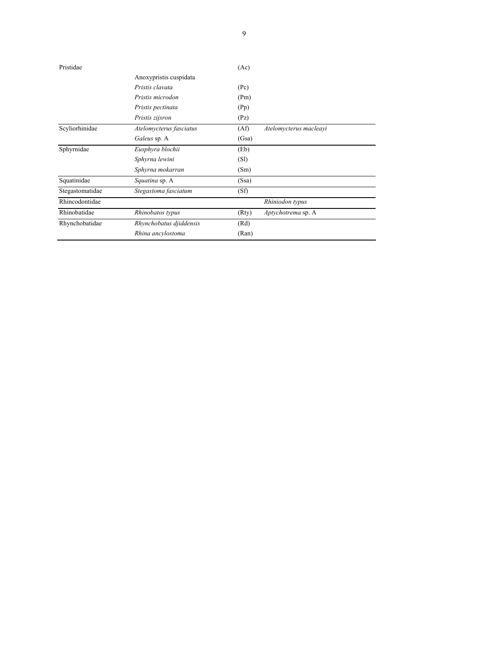| Pristidae       |                         | (Ac)  |                        |
|-----------------|-------------------------|-------|------------------------|
|                 | Anoxypristis cuspidata  |       |                        |
|                 | Pristis clavata         | (Pc)  |                        |
|                 | Pristis microdon        | (Pm)  |                        |
|                 | Pristis pectinata       | (Pp)  |                        |
|                 | Pristis zijsron         | (Pz)  |                        |
| Scyliorhinidae  | Atelomycterus fasciatus | (Af)  | Atelomycterus macleayi |
|                 | Galeus sp. A            | (Gsa) |                        |
| Sphyrnidae      | Eusphyra blochii        | (Eb)  |                        |
|                 | Sphyrna lewini          | (SI)  |                        |
|                 | Sphyrna mokarran        | (Sm)  |                        |
| Squatinidae     | Squatina sp. A          | (Ssa) |                        |
| Stegastomatidae | Stegastoma fasciatum    | (Sf)  |                        |
| Rhincodontidae  |                         |       | Rhiniodon typus        |
| Rhinobatidae    | Rhinobatos typus        | (Rty) | Aptychotrema sp. A     |
| Rhynchobatidae  | Rhynchobatus djiddensis | (Rd)  |                        |
|                 | Rhina ancylostoma       | (Ran) |                        |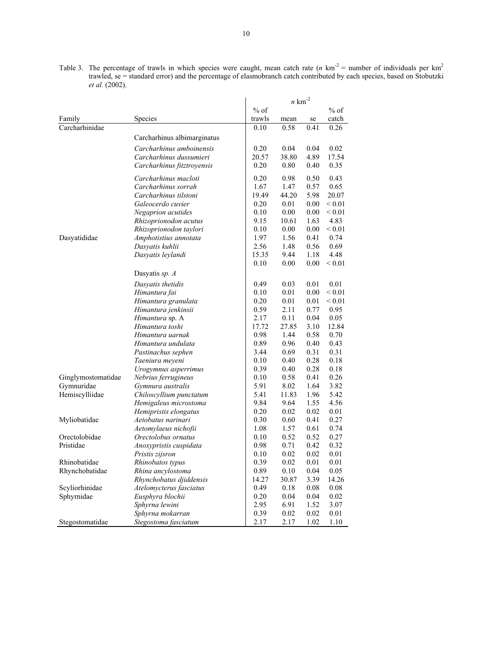Table 3. The percentage of trawls in which species were caught, mean catch rate  $(n \text{ km}^2)$  = number of individuals per km<sup>2</sup> trawled, se = standard error) and the percentage of elasmobranch catch contributed by each species, based on Stobutzki *et al.* (2002).

|                    |                             |        | $n \text{ km}^{-2}$ |          |             |
|--------------------|-----------------------------|--------|---------------------|----------|-------------|
|                    |                             | $%$ of |                     |          | $%$ of      |
| Family             | Species                     | trawls | mean                | se       | catch       |
| Carcharhinidae     |                             | 0.10   | 0.58                | 0.41     | 0.26        |
|                    | Carcharhinus albimarginatus |        |                     |          |             |
|                    | Carcharhinus amboinensis    | 0.20   | 0.04                | 0.04     | 0.02        |
|                    | Carcharhinus dussumieri     | 20.57  | 38.80               | 4.89     | 17.54       |
|                    | Carcharhinus fitztroyensis  | 0.20   | 0.80                | 0.40     | 0.35        |
|                    |                             |        |                     |          |             |
|                    | Carcharhinus macloti        | 0.20   | 0.98                | 0.50     | 0.43        |
|                    | Carcharhinus sorrah         | 1.67   | 1.47                | 0.57     | 0.65        |
|                    | Carcharhinus tilstoni       | 19.49  | 44.20               | 5.98     | 20.07       |
|                    | Galeocerdo cuvier           | 0.20   | 0.01                | $0.00\,$ | ${}_{0.01}$ |
|                    | Negaprion acutides          | 0.10   | 0.00                | 0.00     | ${}_{0.01}$ |
|                    | Rhizoprionodon acutus       | 9.15   | 10.61               | 1.63     | 4.83        |
|                    | Rhizoprionodon taylori      | 0.10   | 0.00                | 0.00     | ${}_{0.01}$ |
| Dasyatididae       | Amphotistius annotata       | 1.97   | 1.56                | 0.41     | 0.74        |
|                    | Dasyatis kuhlii             | 2.56   | 1.48                | 0.56     | 0.69        |
|                    | Dasyatis leylandi           | 15.35  | 9.44                | 1.18     | 4.48        |
|                    |                             | 0.10   | 0.00                | 0.00     | ${}_{0.01}$ |
|                    | Dasyatis sp. A              |        |                     |          |             |
|                    | Dasyatis thetidis           | 0.49   | 0.03                | 0.01     | 0.01        |
|                    | Himantura fai               | 0.10   | 0.01                | 0.00     | ${}_{0.01}$ |
|                    | Himantura granulata         | 0.20   | 0.01                | 0.01     | ${}_{0.01}$ |
|                    | Himantura jenkinsii         | 0.59   | 2.11                | 0.77     | 0.95        |
|                    | Himantura sp. A             | 2.17   | 0.11                | 0.04     | 0.05        |
|                    | Himantura toshi             | 17.72  | 27.85               | 3.10     | 12.84       |
|                    | Himantura uarnak            | 0.98   | 1.44                | 0.58     | 0.70        |
|                    | Himantura undulata          | 0.89   | 0.96                | 0.40     | 0.43        |
|                    | Pastinachus sephen          | 3.44   | 0.69                | 0.31     | 0.31        |
|                    | Taeniura meyeni             | 0.10   | 0.40                | 0.28     | 0.18        |
|                    | Urogymnus asperrimus        | 0.39   | 0.40                | 0.28     | 0.18        |
| Ginglymostomatidae | Nebrius ferrugineus         | 0.10   | 0.58                | 0.41     | 0.26        |
| Gymnuridae         | Gymnura australis           | 5.91   | 8.02                | 1.64     | 3.82        |
| Hemiscylliidae     | Chiloscyllium punctatum     | 5.41   | 11.83               | 1.96     | 5.42        |
|                    | Hemigaleus microstoma       | 9.84   | 9.64                | 1.55     | 4.56        |
|                    | Hemipristis elongatus       | 0.20   | 0.02                | 0.02     | 0.01        |
| Myliobatidae       | Aetobatus narinari          | 0.30   | 0.60                | 0.41     | 0.27        |
|                    | Aetomylaeus nichofii        | 1.08   | 1.57                | 0.61     | 0.74        |
| Orectolobidae      | Orectolobus ornatus         | 0.10   | 0.52                | 0.52     | 0.27        |
| Pristidae          | Anoxypristis cuspidata      | 0.98   | 0.71                | 0.42     | 0.32        |
|                    | Pristis zijsron             | 0.10   | 0.02                | 0.02     | 0.01        |
| Rhinobatidae       | Rhinobatos typus            | 0.39   | 0.02                | 0.01     | 0.01        |
| Rhynchobatidae     | Rhina ancylostoma           | 0.89   | 0.10                | 0.04     | 0.05        |
|                    | Rhynchobatus djiddensis     | 14.27  | 30.87               | 3.39     | 14.26       |
| Scyliorhinidae     | Atelomycterus fasciatus     | 0.49   | 0.18                | 0.08     | 0.08        |
| Sphyrnidae         | Eusphyra blochii            | 0.20   | 0.04                | 0.04     | 0.02        |
|                    | Sphyrna lewini              | 2.95   | 6.91                | 1.52     | 3.07        |
|                    | Sphyrna mokarran            | 0.39   | 0.02                | 0.02     | 0.01        |
| Stegostomatidae    | Stegostoma fasciatum        | 2.17   | 2.17                | 1.02     | 1.10        |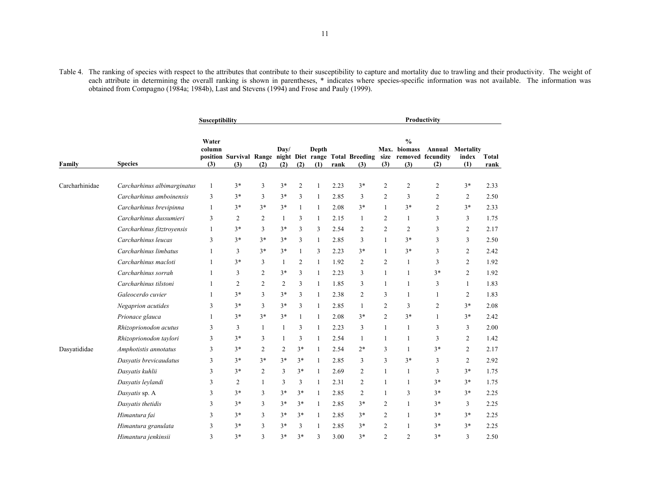| Table 4. The ranking of species with respect to the attributes that contribute to their susceptibility to capture and mortality due to trawling and their productivity. The weight of |  |
|---------------------------------------------------------------------------------------------------------------------------------------------------------------------------------------|--|
| each attribute in determining the overall ranking is shown in parentheses, * indicates where species-specific information was not available. The information was                      |  |
| obtained from Compagno (1984a; 1984b), Last and Stevens (1994) and Frose and Pauly (1999).                                                                                            |  |

|                | <b>Susceptibility</b>       |                        |                |                |                |              |              | <b>Productivity</b> |                |                |                                      |                                                                                                 |                           |               |
|----------------|-----------------------------|------------------------|----------------|----------------|----------------|--------------|--------------|---------------------|----------------|----------------|--------------------------------------|-------------------------------------------------------------------------------------------------|---------------------------|---------------|
| Family         | <b>Species</b>              | Water<br>column<br>(3) | (3)            | (2)            | Day/<br>(2)    | (2)          | Depth<br>(1) | rank                | (3)            | (3)            | $\frac{0}{0}$<br>Max. biomass<br>(3) | Annual<br>position Survival Range night Diet range Total Breeding size removed fecundity<br>(2) | Mortality<br>index<br>(1) | Total<br>rank |
| Carcharhinidae | Carcharhinus albimarginatus | 1                      | $3*$           | 3              | $3*$           | 2            | 1            | 2.23                | $3*$           | 2              | $\overline{2}$                       | $\overline{c}$                                                                                  | $3*$                      | 2.33          |
|                | Carcharhinus amboinensis    | 3                      | $3*$           | 3              | $3*$           | 3            | 1            | 2.85                | 3              | 2              | 3                                    | 2                                                                                               | 2                         | 2.50          |
|                | Carcharhinus brevipinna     | 1                      | $3*$           | $3*$           | $3*$           | $\mathbf{1}$ | $\mathbf{1}$ | 2.08                | $3*$           | $\mathbf{1}$   | $3*$                                 | $\overline{2}$                                                                                  | $3*$                      | 2.33          |
|                | Carcharhinus dussumieri     | 3                      | $\overline{2}$ | $\overline{c}$ | 1              | 3            | 1            | 2.15                | -1             | 2              | 1                                    | 3                                                                                               | $\mathfrak{Z}$            | 1.75          |
|                | Carcharhinus fitztroyensis  | 1                      | $3*$           | 3              | $3*$           | 3            | 3            | 2.54                | $\overline{2}$ | $\overline{c}$ | $\overline{2}$                       | 3                                                                                               | $\overline{2}$            | 2.17          |
|                | Carcharhinus leucas         | 3                      | $3*$           | $3*$           | $3*$           | 3            | $\mathbf{1}$ | 2.85                | 3              | $\mathbf{1}$   | $3*$                                 | 3                                                                                               | 3                         | 2.50          |
|                | Carcharhinus limbatus       | 1                      | 3              | $3*$           | $3*$           | $\mathbf{1}$ | 3            | 2.23                | $3*$           | 1              | $3*$                                 | 3                                                                                               | 2                         | 2.42          |
|                | Carcharhinus macloti        | 1                      | $3*$           | 3              | 1              | 2            | 1            | 1.92                | $\overline{2}$ | 2              | 1                                    | 3                                                                                               | 2                         | 1.92          |
|                | Carcharhinus sorrah         | 1                      | 3              | $\overline{c}$ | $3*$           | 3            | 1            | 2.23                | 3              | 1              | 1                                    | $3*$                                                                                            | 2                         | 1.92          |
|                | Carcharhinus tilstoni       | 1                      | 2              | $\overline{c}$ | 2              | 3            | 1            | 1.85                | 3              | 1              | 1                                    | 3                                                                                               | 1                         | 1.83          |
|                | Galeocerdo cuvier           | 1                      | $3*$           | 3              | $3*$           | 3            | $\mathbf{1}$ | 2.38                | $\overline{2}$ | 3              | 1                                    | $\mathbf{1}$                                                                                    | 2                         | 1.83          |
|                | Negaprion acutides          | 3                      | $3*$           | 3              | $3*$           | 3            | 1            | 2.85                | $\mathbf{1}$   | 2              | 3                                    | 2                                                                                               | $3*$                      | 2.08          |
|                | Prionace glauca             | 1                      | $3*$           | $3*$           | $3*$           | $\mathbf{1}$ | $\mathbf{1}$ | 2.08                | $3*$           | $\overline{c}$ | $3*$                                 | $\mathbf{1}$                                                                                    | $3*$                      | 2.42          |
|                | Rhizoprionodon acutus       | 3                      | 3              | 1              | $\mathbf{1}$   | 3            | $\mathbf{1}$ | 2.23                | 3              | 1              | 1                                    | 3                                                                                               | $\mathfrak{Z}$            | 2.00          |
|                | Rhizoprionodon taylori      | 3                      | $3*$           | 3              | $\mathbf{1}$   | 3            | $\mathbf{1}$ | 2.54                | $\mathbf{1}$   | 1              | $\mathbf{1}$                         | 3                                                                                               | 2                         | 1.42          |
| Dasyatididae   | Amphotistis annotatus       | 3                      | $3*$           | $\overline{c}$ | $\mathfrak{2}$ | $3*$         | 1            | 2.54                | $2*$           | 3              | 1                                    | $3*$                                                                                            | $\overline{2}$            | 2.17          |
|                | Dasyatis brevicaudatus      | 3                      | $3*$           | $3*$           | $3*$           | $3*$         | 1            | 2.85                | 3              | 3              | $3*$                                 | 3                                                                                               | 2                         | 2.92          |
|                | Dasyatis kuhlii             | 3                      | $3*$           | $\overline{2}$ | 3              | $3*$         | 1            | 2.69                | $\overline{2}$ | 1              | 1                                    | 3                                                                                               | $3*$                      | 1.75          |
|                | Dasyatis leylandi           | 3                      | 2              | 1              | 3              | 3            | 1            | 2.31                | $\overline{2}$ | 1              | 1                                    | $3*$                                                                                            | $3*$                      | 1.75          |
|                | Dasyatis sp. A              | 3                      | 3*             | 3              | $3*$           | $3*$         | 1            | 2.85                | 2              | 1              | 3                                    | $3*$                                                                                            | $3*$                      | 2.25          |
|                | Dasyatis thetidis           | 3                      | $3*$           | 3              | $3*$           | $3*$         | 1            | 2.85                | $3*$           | 2              | 1                                    | $3*$                                                                                            | 3                         | 2.25          |
|                | Himantura fai               | 3                      | $3*$           | 3              | $3*$           | $3*$         | 1            | 2.85                | $3*$           | 2              | 1                                    | $3*$                                                                                            | $3*$                      | 2.25          |
|                | Himantura granulata         | 3                      | $3*$           | 3              | $3*$           | 3            | 1            | 2.85                | $3*$           | 2              | 1                                    | $3*$                                                                                            | $3*$                      | 2.25          |
|                | Himantura jenkinsii         | 3                      | $3*$           | 3              | $3*$           | $3*$         | 3            | 3.00                | $3*$           | $\overline{2}$ | $\overline{2}$                       | $3*$                                                                                            | 3                         | 2.50          |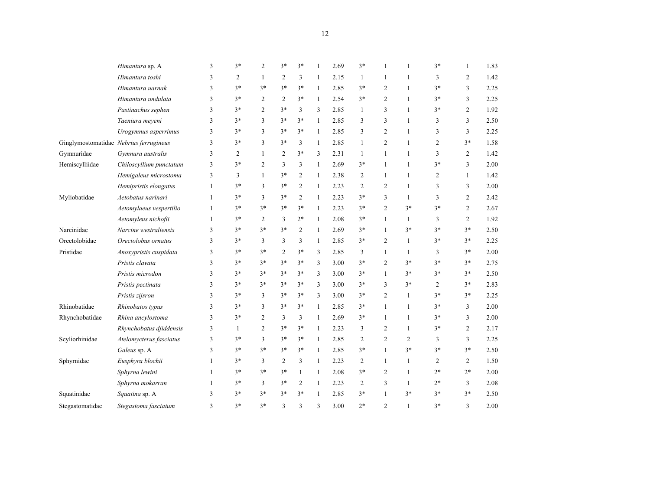|                 | Himantura sp. A                        | 3 | $3*$           | 2              | $3*$           | $3*$           |    | 2.69 | $3*$           |                | 1              | $3*$           | 1              | 1.83 |
|-----------------|----------------------------------------|---|----------------|----------------|----------------|----------------|----|------|----------------|----------------|----------------|----------------|----------------|------|
|                 | Himantura toshi                        | 3 | $\overline{c}$ | 1              | $\mathfrak{2}$ | 3              | 1  | 2.15 | $\mathbf{1}$   |                | 1              | 3              | $\overline{c}$ | 1.42 |
|                 | Himantura uarnak                       | 3 | $3*$           | $3*$           | $3*$           | $3*$           | 1  | 2.85 | $3*$           | $\overline{c}$ | 1              | $3*$           | 3              | 2.25 |
|                 | Himantura undulata                     | 3 | $3*$           | $\overline{2}$ | 2              | $3*$           | 1  | 2.54 | $3*$           | $\overline{c}$ | 1              | $3*$           | 3              | 2.25 |
|                 | Pastinachus sephen                     | 3 | $3*$           | 2              | $3*$           | 3              | 3  | 2.85 | 1              | 3              | 1              | $3*$           | 2              | 1.92 |
|                 | Taeniura meyeni                        | 3 | $3*$           | 3              | $3*$           | $3*$           | 1  | 2.85 | 3              | 3              | 1              | 3              | 3              | 2.50 |
|                 | Urogymnus asperrimus                   | 3 | $3*$           | 3              | $3*$           | $3*$           | 1  | 2.85 | 3              | 2              | 1              | 3              | 3              | 2.25 |
|                 | Ginglymostomatidae Nebrius ferrugineus | 3 | $3*$           | 3              | $3*$           | 3              | 1  | 2.85 | $\mathbf{1}$   | $\overline{c}$ | 1              | 2              | $3*$           | 1.58 |
| Gymnuridae      | Gymnura australis                      | 3 | $\overline{c}$ | 1              | $\overline{2}$ | $3*$           | 3  | 2.31 | $\mathbf{1}$   | 1              | 1              | 3              | $\overline{c}$ | 1.42 |
| Hemiscylliidae  | Chiloscyllium punctatum                | 3 | $3*$           | $\overline{c}$ | 3              | 3              | 1  | 2.69 | $3*$           | 1              | 1              | $3*$           | 3              | 2.00 |
|                 | Hemigaleus microstoma                  | 3 | 3              | 1              | $3*$           | 2              | 1  | 2.38 | 2              | 1              | 1              | $\overline{c}$ | 1              | 1.42 |
|                 | Hemipristis elongatus                  | 1 | $3*$           | 3              | $3*$           | 2              | 1  | 2.23 | $\overline{2}$ | 2              | 1              | 3              | 3              | 2.00 |
| Myliobatidae    | Aetobatus narinari                     | 1 | $3*$           | 3              | $3*$           | 2              | 1  | 2.23 | $3*$           | 3              | 1              | 3              | 2              | 2.42 |
|                 | Aetomylaeus vespertilio                | 1 | $3*$           | $3*$           | $3*$           | $3*$           | 1  | 2.23 | $3*$           | $\overline{2}$ | $3*$           | $3*$           | 2              | 2.67 |
|                 | Aetomyleus nichofii                    | 1 | $3*$           | 2              | 3              | $2*$           | 1  | 2.08 | $3*$           | 1              | 1              | 3              | $\overline{c}$ | 1.92 |
| Narcinidae      | Narcine westraliensis                  | 3 | $3*$           | $3*$           | $3*$           | $\overline{c}$ | 1  | 2.69 | $3*$           | $\mathbf{1}$   | $3*$           | $3*$           | $3*$           | 2.50 |
| Orectolobidae   | Orectolobus ornatus                    | 3 | $3*$           | 3              | 3              | 3              | 1  | 2.85 | $3*$           | 2              | 1              | $3*$           | $3*$           | 2.25 |
| Pristidae       | Anoxypristis cuspidata                 | 3 | $3*$           | $3*$           | $\mathfrak{2}$ | $3*$           | 3  | 2.85 | 3              | 1              | 1              | 3              | $3*$           | 2.00 |
|                 | Pristis clavata                        | 3 | $3*$           | $3*$           | $3*$           | $3*$           | 3  | 3.00 | $3*$           | $\overline{c}$ | $3*$           | $3*$           | $3*$           | 2.75 |
|                 | Pristis microdon                       | 3 | $3*$           | $3*$           | $3*$           | $3*$           | 3  | 3.00 | $3*$           | 1              | $3*$           | $3*$           | $3*$           | 2.50 |
|                 | Pristis pectinata                      | 3 | $3*$           | $3*$           | $3*$           | $3*$           | 3  | 3.00 | $3*$           | 3              | $3*$           | 2              | $3*$           | 2.83 |
|                 | Pristis zijsron                        | 3 | $3*$           | 3              | $3*$           | $3*$           | 3  | 3.00 | $3*$           | $\overline{2}$ | 1              | $3*$           | $3*$           | 2.25 |
| Rhinobatidae    | Rhinobatos typus                       | 3 | $3*$           | 3              | $3*$           | $3*$           | 1  | 2.85 | $3*$           | $\mathbf{1}$   | 1              | $3*$           | 3              | 2.00 |
| Rhynchobatidae  | Rhina ancylostoma                      | 3 | $3*$           | $\overline{2}$ | 3              | 3              | 1  | 2.69 | $3*$           | 1              | 1              | $3*$           | 3              | 2.00 |
|                 | Rhynchobatus djiddensis                | 3 | 1              | $\overline{c}$ | $3*$           | $3*$           | 1  | 2.23 | 3              | $\overline{2}$ | 1              | $3*$           | $\overline{c}$ | 2.17 |
| Scyliorhinidae  | Atelomycterus fasciatus                | 3 | $3*$           | 3              | $3*$           | $3*$           | 1  | 2.85 | 2              | $\overline{c}$ | $\overline{2}$ | 3              | 3              | 2.25 |
|                 | Galeus sp. A                           | 3 | $3*$           | $3*$           | $3*$           | $3*$           | 1  | 2.85 | $3*$           | $\mathbf{1}$   | $3*$           | $3*$           | $3*$           | 2.50 |
| Sphyrnidae      | Eusphyra blochii                       | 1 | $3*$           | 3              | 2              | 3              | -1 | 2.23 | 2              | 1              | 1              | 2              | 2              | 1.50 |
|                 | Sphyrna lewini                         | 1 | $3*$           | $3*$           | $3*$           | 1              | 1  | 2.08 | $3*$           | 2              | 1              | $2*$           | $2*$           | 2.00 |
|                 | Sphyrna mokarran                       | 1 | $3*$           | 3              | $3*$           | 2              | 1  | 2.23 | 2              | 3              | 1              | $2*$           | 3              | 2.08 |
| Squatinidae     | Squatina sp. A                         | 3 | $3*$           | $3*$           | $3*$           | $3*$           | -1 | 2.85 | $3*$           | 1              | $3*$           | $3*$           | $3*$           | 2.50 |
| Stegastomatidae | Stegastoma fasciatum                   | 3 | $3*$           | $3*$           | 3              | 3              | 3  | 3.00 | $2*$           | 2              |                | $3*$           | 3              | 2.00 |